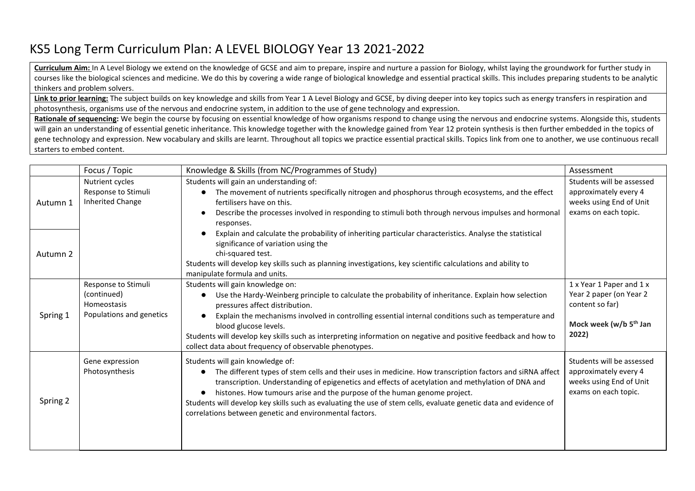## KS5 Long Term Curriculum Plan: A LEVEL BIOLOGY Year 13 2021-2022

**Curriculum Aim:** In A Level Biology we extend on the knowledge of GCSE and aim to prepare, inspire and nurture a passion for Biology, whilst laying the groundwork for further study in courses like the biological sciences and medicine. We do this by covering a wide range of biological knowledge and essential practical skills. This includes preparing students to be analytic thinkers and problem solvers.

Link to prior learning: The subject builds on key knowledge and skills from Year 1 A Level Biology and GCSE, by diving deeper into key topics such as energy transfers in respiration and photosynthesis, organisms use of the nervous and endocrine system, in addition to the use of gene technology and expression.

Rationale of sequencing: We begin the course by focusing on essential knowledge of how organisms respond to change using the nervous and endocrine systems. Alongside this, students will gain an understanding of essential genetic inheritance. This knowledge together with the knowledge gained from Year 12 protein synthesis is then further embedded in the topics of gene technology and expression. New vocabulary and skills are learnt. Throughout all topics we practice essential practical skills. Topics link from one to another, we use continuous recall starters to embed content.

|          | Focus / Topic                                                                 | Knowledge & Skills (from NC/Programmes of Study)                                                                                                                                                                                                                                                                                                                                                                                                                                                             | Assessment                                                                                                            |
|----------|-------------------------------------------------------------------------------|--------------------------------------------------------------------------------------------------------------------------------------------------------------------------------------------------------------------------------------------------------------------------------------------------------------------------------------------------------------------------------------------------------------------------------------------------------------------------------------------------------------|-----------------------------------------------------------------------------------------------------------------------|
| Autumn 1 | Nutrient cycles<br>Response to Stimuli<br>Inherited Change                    | Students will gain an understanding of:<br>The movement of nutrients specifically nitrogen and phosphorus through ecosystems, and the effect<br>$\bullet$<br>fertilisers have on this.<br>Describe the processes involved in responding to stimuli both through nervous impulses and hormonal<br>responses.                                                                                                                                                                                                  | Students will be assessed<br>approximately every 4<br>weeks using End of Unit<br>exams on each topic.                 |
| Autumn 2 |                                                                               | Explain and calculate the probability of inheriting particular characteristics. Analyse the statistical<br>significance of variation using the<br>chi-squared test.<br>Students will develop key skills such as planning investigations, key scientific calculations and ability to<br>manipulate formula and units.                                                                                                                                                                                         |                                                                                                                       |
| Spring 1 | Response to Stimuli<br>(continued)<br>Homeostasis<br>Populations and genetics | Students will gain knowledge on:<br>Use the Hardy-Weinberg principle to calculate the probability of inheritance. Explain how selection<br>pressures affect distribution.<br>Explain the mechanisms involved in controlling essential internal conditions such as temperature and<br>blood glucose levels.<br>Students will develop key skills such as interpreting information on negative and positive feedback and how to<br>collect data about frequency of observable phenotypes.                       | 1 x Year 1 Paper and 1 x<br>Year 2 paper (on Year 2<br>content so far)<br>Mock week (w/b 5 <sup>th</sup> Jan<br>2022) |
| Spring 2 | Gene expression<br>Photosynthesis                                             | Students will gain knowledge of:<br>The different types of stem cells and their uses in medicine. How transcription factors and siRNA affect<br>transcription. Understanding of epigenetics and effects of acetylation and methylation of DNA and<br>histones. How tumours arise and the purpose of the human genome project.<br>Students will develop key skills such as evaluating the use of stem cells, evaluate genetic data and evidence of<br>correlations between genetic and environmental factors. | Students will be assessed<br>approximately every 4<br>weeks using End of Unit<br>exams on each topic.                 |